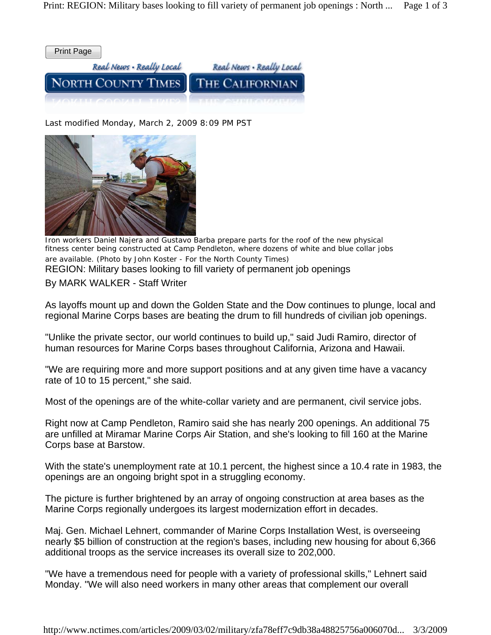

Last modified Monday, March 2, 2009 8:09 PM PST



REGION: Military bases looking to fill variety of permanent job openings By MARK WALKER - Staff Writer *Iron workers Daniel Najera and Gustavo Barba prepare parts for the roof of the new physical fitness center being constructed at Camp Pendleton, where dozens of white and blue collar jobs are available. (Photo by John Koster - For the North County Times)*

As layoffs mount up and down the Golden State and the Dow continues to plunge, local and regional Marine Corps bases are beating the drum to fill hundreds of civilian job openings.

"Unlike the private sector, our world continues to build up," said Judi Ramiro, director of human resources for Marine Corps bases throughout California, Arizona and Hawaii.

"We are requiring more and more support positions and at any given time have a vacancy rate of 10 to 15 percent," she said.

Most of the openings are of the white-collar variety and are permanent, civil service jobs.

Right now at Camp Pendleton, Ramiro said she has nearly 200 openings. An additional 75 are unfilled at Miramar Marine Corps Air Station, and she's looking to fill 160 at the Marine Corps base at Barstow.

With the state's unemployment rate at 10.1 percent, the highest since a 10.4 rate in 1983, the openings are an ongoing bright spot in a struggling economy.

The picture is further brightened by an array of ongoing construction at area bases as the Marine Corps regionally undergoes its largest modernization effort in decades.

Maj. Gen. Michael Lehnert, commander of Marine Corps Installation West, is overseeing nearly \$5 billion of construction at the region's bases, including new housing for about 6,366 additional troops as the service increases its overall size to 202,000.

"We have a tremendous need for people with a variety of professional skills," Lehnert said Monday. "We will also need workers in many other areas that complement our overall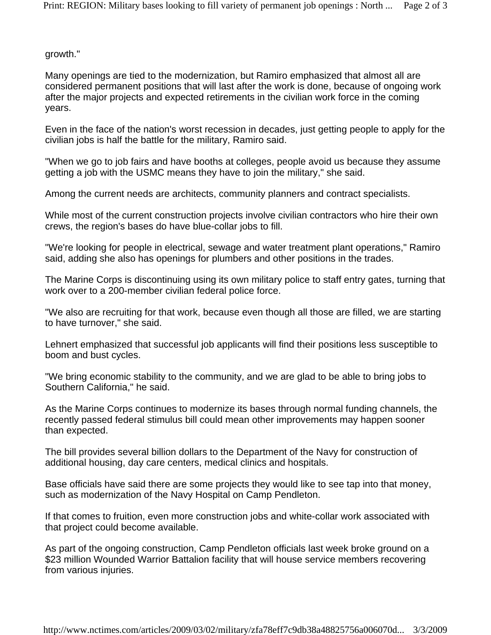growth."

Many openings are tied to the modernization, but Ramiro emphasized that almost all are considered permanent positions that will last after the work is done, because of ongoing work after the major projects and expected retirements in the civilian work force in the coming years.

Even in the face of the nation's worst recession in decades, just getting people to apply for the civilian jobs is half the battle for the military, Ramiro said.

"When we go to job fairs and have booths at colleges, people avoid us because they assume getting a job with the USMC means they have to join the military," she said.

Among the current needs are architects, community planners and contract specialists.

While most of the current construction projects involve civilian contractors who hire their own crews, the region's bases do have blue-collar jobs to fill.

"We're looking for people in electrical, sewage and water treatment plant operations," Ramiro said, adding she also has openings for plumbers and other positions in the trades.

The Marine Corps is discontinuing using its own military police to staff entry gates, turning that work over to a 200-member civilian federal police force.

"We also are recruiting for that work, because even though all those are filled, we are starting to have turnover," she said.

Lehnert emphasized that successful job applicants will find their positions less susceptible to boom and bust cycles.

"We bring economic stability to the community, and we are glad to be able to bring jobs to Southern California," he said.

As the Marine Corps continues to modernize its bases through normal funding channels, the recently passed federal stimulus bill could mean other improvements may happen sooner than expected.

The bill provides several billion dollars to the Department of the Navy for construction of additional housing, day care centers, medical clinics and hospitals.

Base officials have said there are some projects they would like to see tap into that money, such as modernization of the Navy Hospital on Camp Pendleton.

If that comes to fruition, even more construction jobs and white-collar work associated with that project could become available.

As part of the ongoing construction, Camp Pendleton officials last week broke ground on a \$23 million Wounded Warrior Battalion facility that will house service members recovering from various injuries.